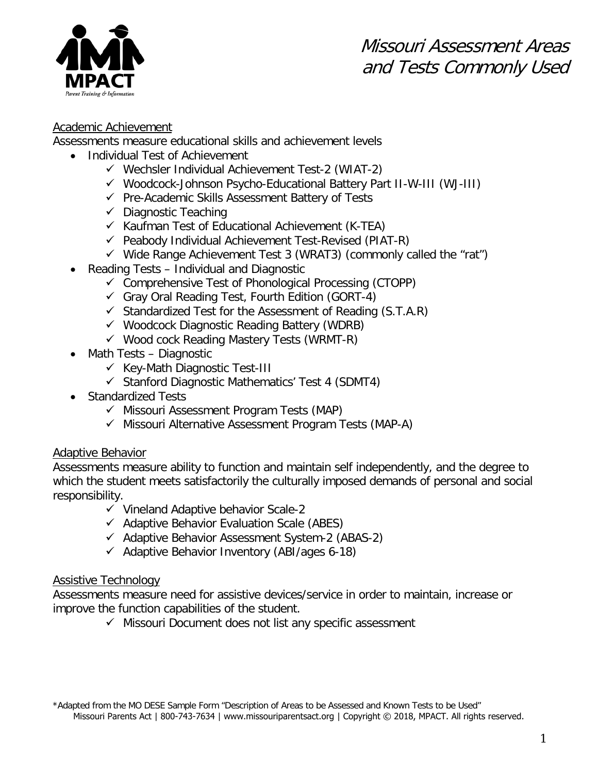

## Academic Achievement

Assessments measure educational skills and achievement levels

- Individual Test of Achievement
	- $\checkmark$  Wechsler Individual Achievement Test-2 (WIAT-2)
	- Woodcock-Johnson Psycho-Educational Battery Part II-W-III (WJ-III)
	- $\checkmark$  Pre-Academic Skills Assessment Battery of Tests
	- $\checkmark$  Diagnostic Teaching
	- $\checkmark$  Kaufman Test of Educational Achievement (K-TEA)
	- $\checkmark$  Peabody Individual Achievement Test-Revised (PIAT-R)
	- $\checkmark$  Wide Range Achievement Test 3 (WRAT3) (commonly called the "rat")
- Reading Tests Individual and Diagnostic
	- $\checkmark$  Comprehensive Test of Phonological Processing (CTOPP)
	- $\checkmark$  Gray Oral Reading Test, Fourth Edition (GORT-4)
	- $\checkmark$  Standardized Test for the Assessment of Reading (S.T.A.R)
	- $\checkmark$  Woodcock Diagnostic Reading Battery (WDRB)
	- $\checkmark$  Wood cock Reading Mastery Tests (WRMT-R)
- Math Tests Diagnostic
	- $\checkmark$  Key-Math Diagnostic Test-III
	- $\checkmark$  Stanford Diagnostic Mathematics' Test 4 (SDMT4)
- Standardized Tests
	- $\checkmark$  Missouri Assessment Program Tests (MAP)
	- $\checkmark$  Missouri Alternative Assessment Program Tests (MAP-A)

## Adaptive Behavior

Assessments measure ability to function and maintain self independently, and the degree to which the student meets satisfactorily the culturally imposed demands of personal and social responsibility.

- $\checkmark$  Vineland Adaptive behavior Scale-2
- $\checkmark$  Adaptive Behavior Evaluation Scale (ABES)
- $\checkmark$  Adaptive Behavior Assessment System-2 (ABAS-2)
- $\checkmark$  Adaptive Behavior Inventory (ABI/ages 6-18)

## Assistive Technology

Assessments measure need for assistive devices/service in order to maintain, increase or improve the function capabilities of the student.

 $\checkmark$  Missouri Document does not list any specific assessment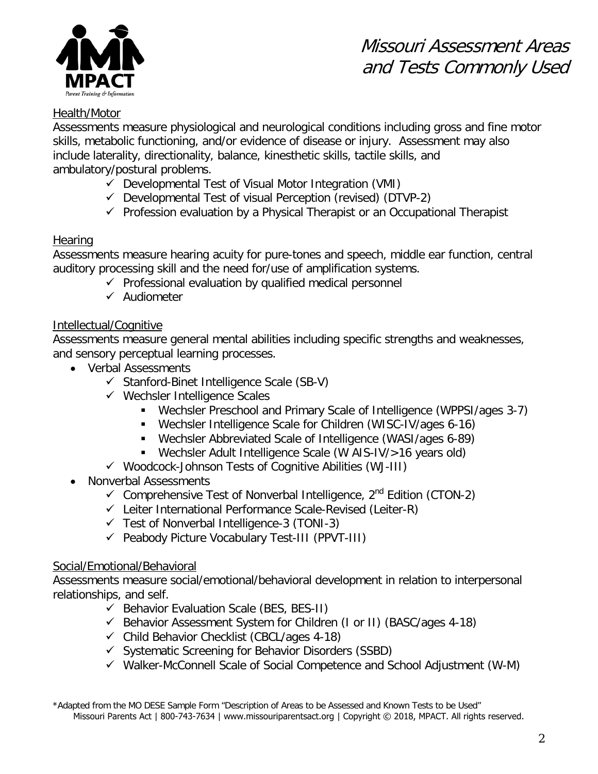

# Missouri Assessment Areas and Tests Commonly Used

# Health/Motor

Assessments measure physiological and neurological conditions including gross and fine motor skills, metabolic functioning, and/or evidence of disease or injury. Assessment may also include laterality, directionality, balance, kinesthetic skills, tactile skills, and ambulatory/postural problems.

- $\checkmark$  Developmental Test of Visual Motor Integration (VMI)
- $\checkmark$  Developmental Test of visual Perception (revised) (DTVP-2)
- $\checkmark$  Profession evaluation by a Physical Therapist or an Occupational Therapist

# **Hearing**

Assessments measure hearing acuity for pure-tones and speech, middle ear function, central auditory processing skill and the need for/use of amplification systems.

- $\checkmark$  Professional evaluation by qualified medical personnel
- $\checkmark$  Audiometer

# Intellectual/Cognitive

Assessments measure general mental abilities including specific strengths and weaknesses, and sensory perceptual learning processes.

- Verbal Assessments
	- $\checkmark$  Stanford-Binet Intelligence Scale (SB-V)
	- $\checkmark$  Wechsler Intelligence Scales
		- Wechsler Preschool and Primary Scale of Intelligence (WPPSI/ages 3-7)
		- Wechsler Intelligence Scale for Children (WISC-IV/ages 6-16)
		- Wechsler Abbreviated Scale of Intelligence (WASI/ages 6-89)
		- Wechsler Adult Intelligence Scale (W AIS-IV/>16 years old)
	- $\checkmark$  Woodcock-Johnson Tests of Cognitive Abilities (WJ-III)
- Nonverbal Assessments
	- $\checkmark$  Comprehensive Test of Nonverbal Intelligence,  $2^{nd}$  Edition (CTON-2)
	- $\checkmark$  Leiter International Performance Scale-Revised (Leiter-R)
	- $\checkmark$  Test of Nonverbal Intelligence-3 (TONI-3)
	- $\checkmark$  Peabody Picture Vocabulary Test-III (PPVT-III)

## Social/Emotional/Behavioral

Assessments measure social/emotional/behavioral development in relation to interpersonal relationships, and self.

- $\checkmark$  Behavior Evaluation Scale (BES, BES-II)
- $\checkmark$  Behavior Assessment System for Children (I or II) (BASC/ages 4-18)
- $\checkmark$  Child Behavior Checklist (CBCL/ages 4-18)
- $\checkmark$  Systematic Screening for Behavior Disorders (SSBD)
- $\checkmark$  Walker-McConnell Scale of Social Competence and School Adjustment (W-M)